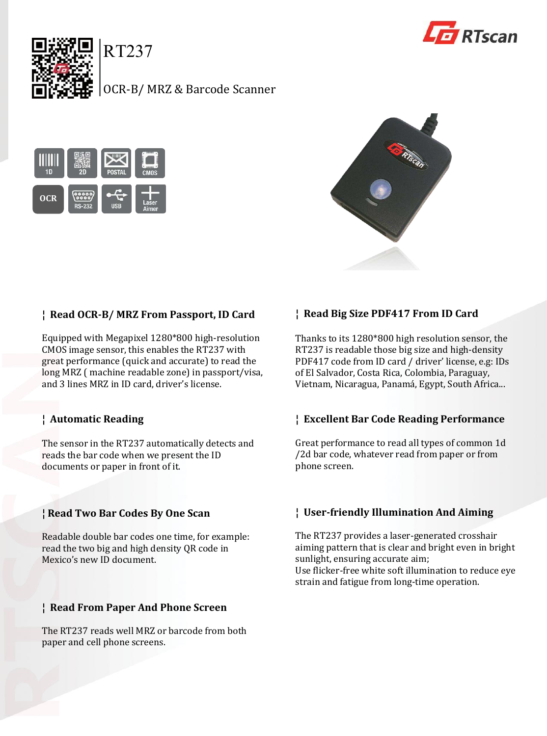

RT237

# OCR-B/ MRZ & Barcode Scanner







## **¦ Read OCR-B/ MRZ From Passport, ID Card**

Equipped with Megapixel 1280\*800 high-resolution CMOS image sensor, this enables the RT237 with great performance (quick and accurate) to read the long MRZ ( machine readable zone) in passport/visa, and 3 lines MRZ in ID card, driver's license.

## **¦ Automatic Reading**

The sensor in the RT237 automatically detects and reads the bar code when we present the ID documents or paper in front of it.

## **¦ Read Two Bar Codes By One Scan**

Readable double bar codes one time, for example: read the two big and high density QR code in Mexico's new ID document.

#### **¦ Read From Paper And Phone Screen**

The RT237 reads well MRZ or barcode from both paper and cell phone screens.

## **¦ Read Big Size PDF417 From ID Card**

Thanks to its 1280\*800 high resolution sensor, the RT237 is readable those big size and high-density PDF417 code from ID card / driver' license, e.g: IDs of El Salvador, Costa Rica, Colombia, Paraguay, Vietnam, Nicaragua, Panamá, Egypt, South Africa...

#### **¦ Excellent Bar Code Reading Performance**

Great performance to read all types of common 1d /2d bar code, whatever read from paper or from phone screen.

#### **¦ User-friendly Illumination And Aiming**

The RT237 provides a laser-generated crosshair aiming pattern that is clear and bright even in bright sunlight, ensuring accurate aim; Use flicker-free white soft illumination to reduce eye strain and fatigue from long-time operation.